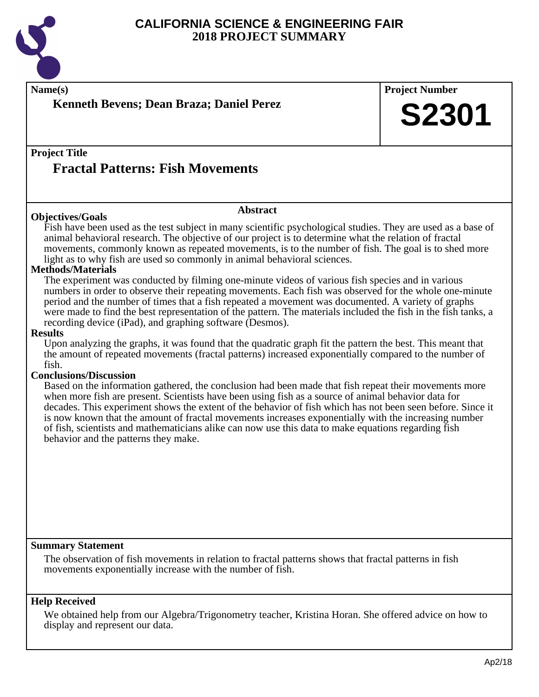

**Name(s) Project Number Project Title Abstract Summary Statement Help Received Kenneth Bevens; Dean Braza; Daniel Perez Fractal Patterns: Fish Movements S2301 Objectives/Goals** Fish have been used as the test subject in many scientific psychological studies. They are used as a base of animal behavioral research. The objective of our project is to determine what the relation of fractal movements, commonly known as repeated movements, is to the number of fish. The goal is to shed more light as to why fish are used so commonly in animal behavioral sciences. **Methods/Materials** The experiment was conducted by filming one-minute videos of various fish species and in various numbers in order to observe their repeating movements. Each fish was observed for the whole one-minute period and the number of times that a fish repeated a movement was documented. A variety of graphs were made to find the best representation of the pattern. The materials included the fish in the fish tanks, a recording device (iPad), and graphing software (Desmos). **Results** Upon analyzing the graphs, it was found that the quadratic graph fit the pattern the best. This meant that the amount of repeated movements (fractal patterns) increased exponentially compared to the number of fish. **Conclusions/Discussion** Based on the information gathered, the conclusion had been made that fish repeat their movements more when more fish are present. Scientists have been using fish as a source of animal behavior data for decades. This experiment shows the extent of the behavior of fish which has not been seen before. Since it is now known that the amount of fractal movements increases exponentially with the increasing number of fish, scientists and mathematicians alike can now use this data to make equations regarding fish behavior and the patterns they make. The observation of fish movements in relation to fractal patterns shows that fractal patterns in fish movements exponentially increase with the number of fish. We obtained help from our Algebra/Trigonometry teacher, Kristina Horan. She offered advice on how to display and represent our data.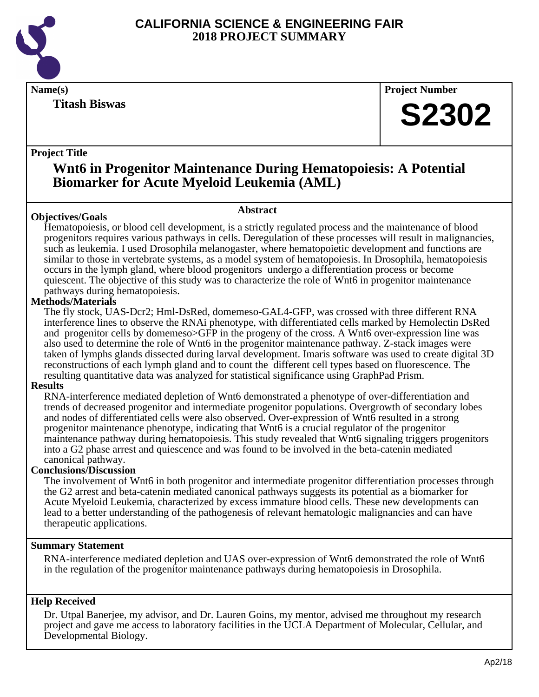

**Titash Biswas**

**Name(s) Project Number**

# **S2302**

#### **Project Title**

## **Wnt6 in Progenitor Maintenance During Hematopoiesis: A Potential Biomarker for Acute Myeloid Leukemia (AML)**

#### **Objectives/Goals**

**Abstract**

Hematopoiesis, or blood cell development, is a strictly regulated process and the maintenance of blood progenitors requires various pathways in cells. Deregulation of these processes will result in malignancies, such as leukemia. I used Drosophila melanogaster, where hematopoietic development and functions are similar to those in vertebrate systems, as a model system of hematopoiesis. In Drosophila, hematopoiesis occurs in the lymph gland, where blood progenitors undergo a differentiation process or become quiescent. The objective of this study was to characterize the role of Wnt6 in progenitor maintenance pathways during hematopoiesis.

#### **Methods/Materials**

The fly stock, UAS-Dcr2; Hml-DsRed, domemeso-GAL4-GFP, was crossed with three different RNA interference lines to observe the RNAi phenotype, with differentiated cells marked by Hemolectin DsRed and progenitor cells by domemeso>GFP in the progeny of the cross. A Wnt6 over-expression line was also used to determine the role of Wnt6 in the progenitor maintenance pathway. Z-stack images were taken of lymphs glands dissected during larval development. Imaris software was used to create digital 3D reconstructions of each lymph gland and to count the different cell types based on fluorescence. The resulting quantitative data was analyzed for statistical significance using GraphPad Prism.

#### **Results**

RNA-interference mediated depletion of Wnt6 demonstrated a phenotype of over-differentiation and trends of decreased progenitor and intermediate progenitor populations. Overgrowth of secondary lobes and nodes of differentiated cells were also observed. Over-expression of Wnt6 resulted in a strong progenitor maintenance phenotype, indicating that Wnt6 is a crucial regulator of the progenitor maintenance pathway during hematopoiesis. This study revealed that Wnt6 signaling triggers progenitors into a G2 phase arrest and quiescence and was found to be involved in the beta-catenin mediated canonical pathway.

#### **Conclusions/Discussion**

The involvement of Wnt6 in both progenitor and intermediate progenitor differentiation processes through the G2 arrest and beta-catenin mediated canonical pathways suggests its potential as a biomarker for Acute Myeloid Leukemia, characterized by excess immature blood cells. These new developments can lead to a better understanding of the pathogenesis of relevant hematologic malignancies and can have therapeutic applications.

#### **Summary Statement**

RNA-interference mediated depletion and UAS over-expression of Wnt6 demonstrated the role of Wnt6 in the regulation of the progenitor maintenance pathways during hematopoiesis in Drosophila.

#### **Help Received**

Dr. Utpal Banerjee, my advisor, and Dr. Lauren Goins, my mentor, advised me throughout my research project and gave me access to laboratory facilities in the UCLA Department of Molecular, Cellular, and Developmental Biology.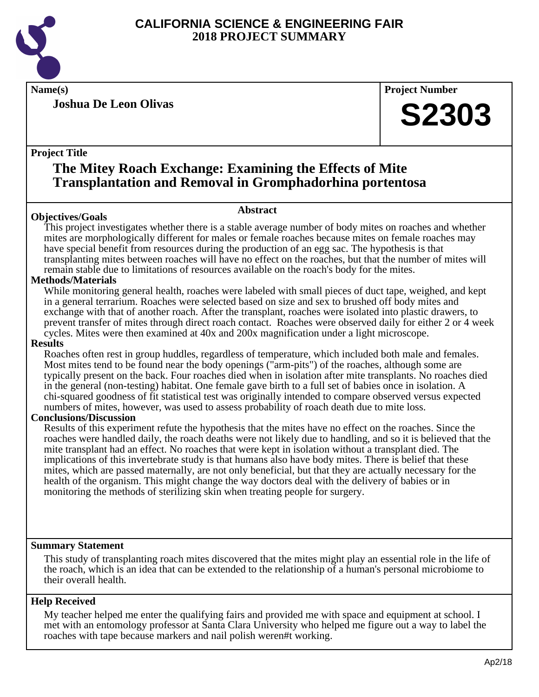

**Joshua De Leon Olivas**

**Name(s) Project Number**

# **S2303**

#### **Project Title**

### **The Mitey Roach Exchange: Examining the Effects of Mite Transplantation and Removal in Gromphadorhina portentosa**

#### **Abstract**

**Objectives/Goals** This project investigates whether there is a stable average number of body mites on roaches and whether mites are morphologically different for males or female roaches because mites on female roaches may have special benefit from resources during the production of an egg sac. The hypothesis is that transplanting mites between roaches will have no effect on the roaches, but that the number of mites will remain stable due to limitations of resources available on the roach's body for the mites.

#### **Methods/Materials**

While monitoring general health, roaches were labeled with small pieces of duct tape, weighed, and kept in a general terrarium. Roaches were selected based on size and sex to brushed off body mites and exchange with that of another roach. After the transplant, roaches were isolated into plastic drawers, to prevent transfer of mites through direct roach contact. Roaches were observed daily for either 2 or 4 week cycles. Mites were then examined at 40x and 200x magnification under a light microscope.

#### **Results**

Roaches often rest in group huddles, regardless of temperature, which included both male and females. Most mites tend to be found near the body openings ("arm-pits") of the roaches, although some are typically present on the back. Four roaches died when in isolation after mite transplants. No roaches died in the general (non-testing) habitat. One female gave birth to a full set of babies once in isolation. A chi-squared goodness of fit statistical test was originally intended to compare observed versus expected numbers of mites, however, was used to assess probability of roach death due to mite loss.

#### **Conclusions/Discussion**

Results of this experiment refute the hypothesis that the mites have no effect on the roaches. Since the roaches were handled daily, the roach deaths were not likely due to handling, and so it is believed that the mite transplant had an effect. No roaches that were kept in isolation without a transplant died. The implications of this invertebrate study is that humans also have body mites. There is belief that these mites, which are passed maternally, are not only beneficial, but that they are actually necessary for the health of the organism. This might change the way doctors deal with the delivery of babies or in monitoring the methods of sterilizing skin when treating people for surgery.

#### **Summary Statement**

This study of transplanting roach mites discovered that the mites might play an essential role in the life of the roach, which is an idea that can be extended to the relationship of a human's personal microbiome to their overall health.

#### **Help Received**

My teacher helped me enter the qualifying fairs and provided me with space and equipment at school. I met with an entomology professor at Santa Clara University who helped me figure out a way to label the roaches with tape because markers and nail polish weren#t working.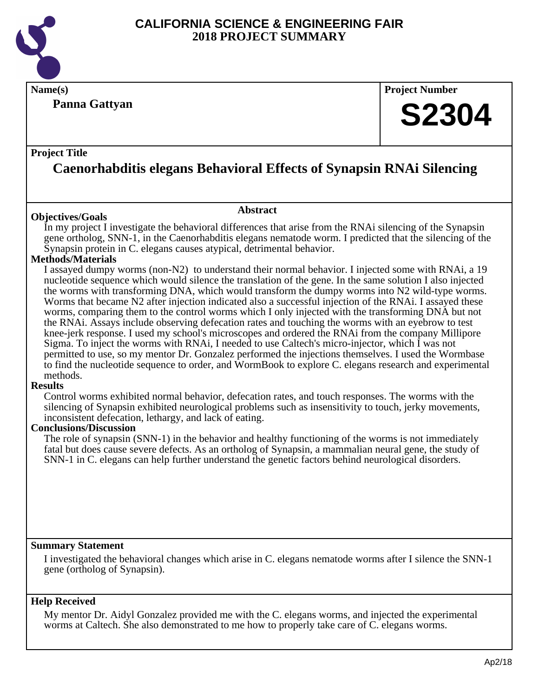

#### **Panna Gattyan**

**Name(s) Project Number**

# **S2304**

#### **Project Title**

# **Caenorhabditis elegans Behavioral Effects of Synapsin RNAi Silencing**

**Abstract**

#### **Objectives/Goals**

In my project I investigate the behavioral differences that arise from the RNA isilencing of the Synapsin gene ortholog, SNN-1, in the Caenorhabditis elegans nematode worm. I predicted that the silencing of the Synapsin protein in C. elegans causes atypical, detrimental behavior.

#### **Methods/Materials**

I assayed dumpy worms (non-N2) to understand their normal behavior. I injected some with RNAi, a 19 nucleotide sequence which would silence the translation of the gene. In the same solution I also injected the worms with transforming DNA, which would transform the dumpy worms into N2 wild-type worms. Worms that became N2 after injection indicated also a successful injection of the RNAi. I assayed these worms, comparing them to the control worms which I only injected with the transforming DNA but not the RNAi. Assays include observing defecation rates and touching the worms with an eyebrow to test knee-jerk response. I used my school's microscopes and ordered the RNAi from the company Millipore Sigma. To inject the worms with RNAi, I needed to use Caltech's micro-injector, which I was not permitted to use, so my mentor Dr. Gonzalez performed the injections themselves. I used the Wormbase to find the nucleotide sequence to order, and WormBook to explore C. elegans research and experimental methods.

#### **Results**

Control worms exhibited normal behavior, defecation rates, and touch responses. The worms with the silencing of Synapsin exhibited neurological problems such as insensitivity to touch, jerky movements, inconsistent defecation, lethargy, and lack of eating.

#### **Conclusions/Discussion**

The role of synapsin (SNN-1) in the behavior and healthy functioning of the worms is not immediately fatal but does cause severe defects. As an ortholog of Synapsin, a mammalian neural gene, the study of SNN-1 in C. elegans can help further understand the genetic factors behind neurological disorders.

#### **Summary Statement**

I investigated the behavioral changes which arise in C. elegans nematode worms after I silence the SNN-1 gene (ortholog of Synapsin).

#### **Help Received**

My mentor Dr. Aidyl Gonzalez provided me with the C. elegans worms, and injected the experimental worms at Caltech. She also demonstrated to me how to properly take care of C. elegans worms.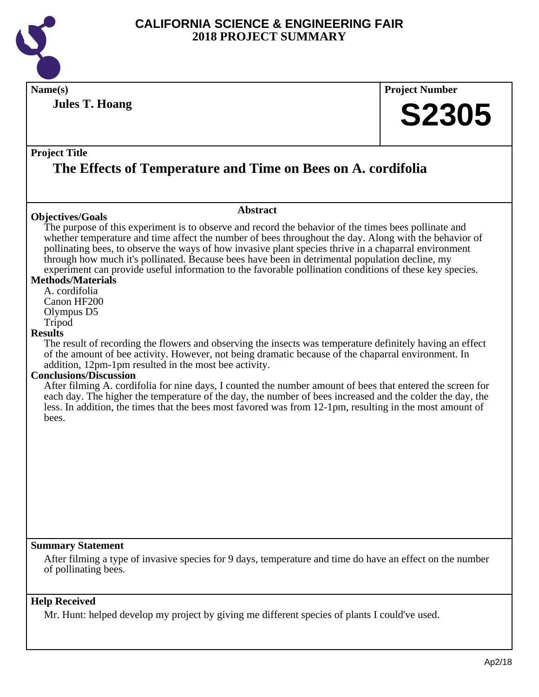

| Name(s)                                                                                                                                                                 |                                                                                                                                                                                                                                                                                                                                                                                                                                                                                                                                                                                                                                                                                                                                                                                                                                                                                                                                                                                                                                                                                                                                                         | <b>Project Number</b> |
|-------------------------------------------------------------------------------------------------------------------------------------------------------------------------|---------------------------------------------------------------------------------------------------------------------------------------------------------------------------------------------------------------------------------------------------------------------------------------------------------------------------------------------------------------------------------------------------------------------------------------------------------------------------------------------------------------------------------------------------------------------------------------------------------------------------------------------------------------------------------------------------------------------------------------------------------------------------------------------------------------------------------------------------------------------------------------------------------------------------------------------------------------------------------------------------------------------------------------------------------------------------------------------------------------------------------------------------------|-----------------------|
| <b>Jules T. Hoang</b>                                                                                                                                                   |                                                                                                                                                                                                                                                                                                                                                                                                                                                                                                                                                                                                                                                                                                                                                                                                                                                                                                                                                                                                                                                                                                                                                         | <b>S2305</b>          |
| <b>Project Title</b>                                                                                                                                                    | The Effects of Temperature and Time on Bees on A. cordifolia                                                                                                                                                                                                                                                                                                                                                                                                                                                                                                                                                                                                                                                                                                                                                                                                                                                                                                                                                                                                                                                                                            |                       |
|                                                                                                                                                                         | <b>Abstract</b>                                                                                                                                                                                                                                                                                                                                                                                                                                                                                                                                                                                                                                                                                                                                                                                                                                                                                                                                                                                                                                                                                                                                         |                       |
| <b>Objectives/Goals</b><br><b>Methods/Materials</b><br>A. cordifolia<br>Canon HF200<br>Olympus D5<br>Tripod<br><b>Results</b><br><b>Conclusions/Discussion</b><br>bees. | The purpose of this experiment is to observe and record the behavior of the times bees pollinate and<br>whether temperature and time affect the number of bees throughout the day. Along with the behavior of<br>pollinating bees, to observe the ways of how invasive plant species thrive in a chaparral environment<br>through how much it's pollinated. Because bees have been in detrimental population decline, my<br>experiment can provide useful information to the favorable pollination conditions of these key species.<br>The result of recording the flowers and observing the insects was temperature definitely having an effect<br>of the amount of bee activity. However, not being dramatic because of the chaparral environment. In<br>addition, 12pm-1pm resulted in the most bee activity.<br>After filming A. cordifolia for nine days, I counted the number amount of bees that entered the screen for<br>each day. The higher the temperature of the day, the number of bees increased and the colder the day, the<br>less. In addition, the times that the bees most favored was from 12-1pm, resulting in the most amount of |                       |
| <b>Summary Statement</b><br>of pollinating bees.                                                                                                                        | After filming a type of invasive species for 9 days, temperature and time do have an effect on the number                                                                                                                                                                                                                                                                                                                                                                                                                                                                                                                                                                                                                                                                                                                                                                                                                                                                                                                                                                                                                                               |                       |

### **Help Received**

Mr. Hunt: helped develop my project by giving me different species of plants I could've used.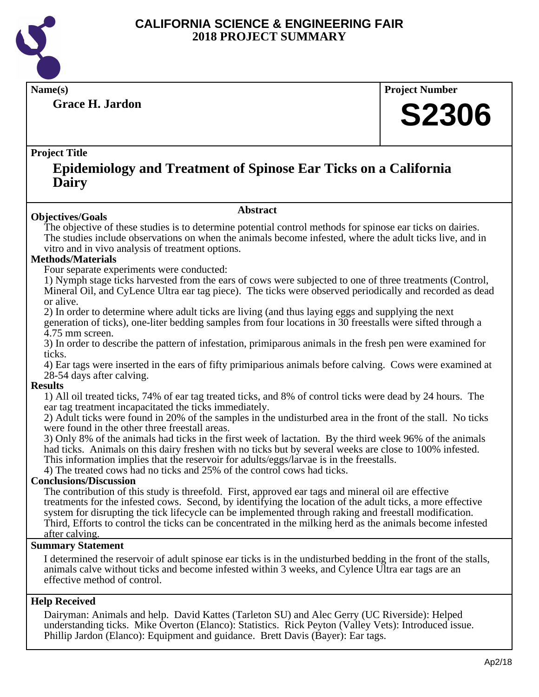

**Grace H. Jardon**

**Name(s) Project Number**

# **S2306**

#### **Project Title**

### **Epidemiology and Treatment of Spinose Ear Ticks on a California Dairy**

#### **Abstract**

**Objectives/Goals** The objective of these studies is to determine potential control methods for spinose ear ticks on dairies. The studies include observations on when the animals become infested, where the adult ticks live, and in vitro and in vivo analysis of treatment options.

#### **Methods/Materials**

Four separate experiments were conducted:

1) Nymph stage ticks harvested from the ears of cows were subjected to one of three treatments (Control, Mineral Oil, and CyLence Ultra ear tag piece). The ticks were observed periodically and recorded as dead or alive. 

2) In order to determine where adult ticks are living (and thus laying eggs and supplying the next generation of ticks), one-liter bedding samples from four locations in 30 freestalls were sifted through a 4.75 mm screen.

3) In order to describe the pattern of infestation, primiparous animals in the fresh pen were examined for ticks.

4) Ear tags were inserted in the ears of fifty primiparious animals before calving. Cows were examined at 28-54 days after calving.

#### **Results**

1) All oil treated ticks, 74% of ear tag treated ticks, and 8% of control ticks were dead by 24 hours. The ear tag treatment incapacitated the ticks immediately.

2) Adult ticks were found in 20% of the samples in the undisturbed area in the front of the stall. No ticks were found in the other three freestall areas.

3) Only 8% of the animals had ticks in the first week of lactation. By the third week 96% of the animals had ticks. Animals on this dairy freshen with no ticks but by several weeks are close to 100% infested. This information implies that the reservoir for adults/eggs/larvae is in the freestalls.

4) The treated cows had no ticks and 25% of the control cows had ticks.

#### **Conclusions/Discussion**

The contribution of this study is threefold. First, approved ear tags and mineral oil are effective treatments for the infested cows. Second, by identifying the location of the adult ticks, a more effective system for disrupting the tick lifecycle can be implemented through raking and freestall modification. Third, Efforts to control the ticks can be concentrated in the milking herd as the animals become infested after calving.

#### **Summary Statement**

I determined the reservoir of adult spinose ear ticks is in the undisturbed bedding in the front of the stalls, animals calve without ticks and become infested within 3 weeks, and Cylence Ultra ear tags are an effective method of control.

#### **Help Received**

Dairyman: Animals and help. David Kattes (Tarleton SU) and Alec Gerry (UC Riverside): Helped understanding ticks. Mike Overton (Elanco): Statistics. Rick Peyton (Valley Vets): Introduced issue. Phillip Jardon (Elanco): Equipment and guidance. Brett Davis (Bayer): Ear tags.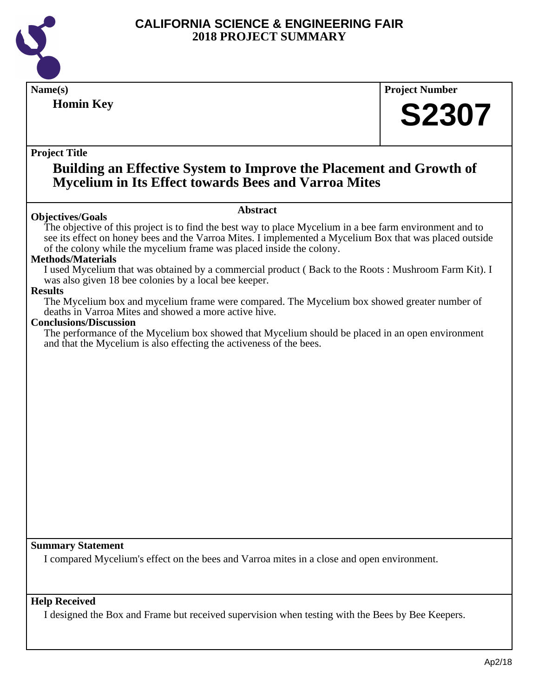

| Name(s)                                                                                                                                                                                                                                                                                                                                            | <b>Project Number</b> |  |  |
|----------------------------------------------------------------------------------------------------------------------------------------------------------------------------------------------------------------------------------------------------------------------------------------------------------------------------------------------------|-----------------------|--|--|
| <b>Homin Key</b>                                                                                                                                                                                                                                                                                                                                   | <b>S2307</b>          |  |  |
|                                                                                                                                                                                                                                                                                                                                                    |                       |  |  |
| <b>Project Title</b>                                                                                                                                                                                                                                                                                                                               |                       |  |  |
| <b>Building an Effective System to Improve the Placement and Growth of</b><br><b>Mycelium in Its Effect towards Bees and Varroa Mites</b>                                                                                                                                                                                                          |                       |  |  |
| <b>Abstract</b>                                                                                                                                                                                                                                                                                                                                    |                       |  |  |
| <b>Objectives/Goals</b><br>The objective of this project is to find the best way to place Mycelium in a bee farm environment and to<br>see its effect on honey bees and the Varroa Mites. I implemented a Mycelium Box that was placed outside<br>of the colony while the mycelium frame was placed inside the colony.<br><b>Methods/Materials</b> |                       |  |  |
| I used Mycelium that was obtained by a commercial product (Back to the Roots: Mushroom Farm Kit). I<br>was also given 18 bee colonies by a local bee keeper.<br><b>Results</b>                                                                                                                                                                     |                       |  |  |
| The Mycelium box and mycelium frame were compared. The Mycelium box showed greater number of<br>deaths in Varroa Mites and showed a more active hive.<br><b>Conclusions/Discussion</b>                                                                                                                                                             |                       |  |  |
| The performance of the Mycelium box showed that Mycelium should be placed in an open environment<br>and that the Mycelium is also effecting the activeness of the bees.                                                                                                                                                                            |                       |  |  |
|                                                                                                                                                                                                                                                                                                                                                    |                       |  |  |
|                                                                                                                                                                                                                                                                                                                                                    |                       |  |  |
|                                                                                                                                                                                                                                                                                                                                                    |                       |  |  |
|                                                                                                                                                                                                                                                                                                                                                    |                       |  |  |
|                                                                                                                                                                                                                                                                                                                                                    |                       |  |  |
|                                                                                                                                                                                                                                                                                                                                                    |                       |  |  |
|                                                                                                                                                                                                                                                                                                                                                    |                       |  |  |
|                                                                                                                                                                                                                                                                                                                                                    |                       |  |  |
| <b>Summary Statement</b><br>I compared Mycelium's effect on the bees and Varroa mites in a close and open environment.                                                                                                                                                                                                                             |                       |  |  |
| <b>Help Received</b><br>I designed the Box and Frame but received supervision when testing with the Bees by Bee Keepers.                                                                                                                                                                                                                           |                       |  |  |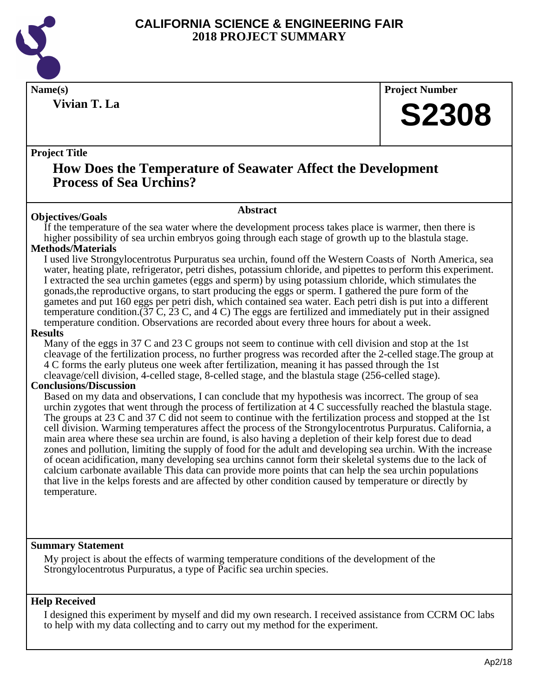

**Vivian T. La**

**Name(s) Project Number**

# **S2308**

#### **Project Title**

### **How Does the Temperature of Seawater Affect the Development Process of Sea Urchins?**

#### **Objectives/Goals**

#### **Abstract**

If the temperature of the sea water where the development process takes place is warmer, then there is higher possibility of sea urchin embryos going through each stage of growth up to the blastula stage.

#### **Methods/Materials**

I used live Strongylocentrotus Purpuratus sea urchin, found off the Western Coasts of North America, sea water, heating plate, refrigerator, petri dishes, potassium chloride, and pipettes to perform this experiment. I extracted the sea urchin gametes (eggs and sperm) by using potassium chloride, which stimulates the gonads,the reproductive organs, to start producing the eggs or sperm. I gathered the pure form of the gametes and put 160 eggs per petri dish, which contained sea water. Each petri dish is put into a different temperature condition.(37 C, 23 C, and 4 C) The eggs are fertilized and immediately put in their assigned temperature condition. Observations are recorded about every three hours for about a week.

#### **Results**

Many of the eggs in 37 C and 23 C groups not seem to continue with cell division and stop at the 1st cleavage of the fertilization process, no further progress was recorded after the 2-celled stage.The group at 4 C forms the early pluteus one week after fertilization, meaning it has passed through the 1st cleavage/cell division, 4-celled stage, 8-celled stage, and the blastula stage (256-celled stage).

#### **Conclusions/Discussion**

Based on my data and observations, I can conclude that my hypothesis was incorrect. The group of sea urchin zygotes that went through the process of fertilization at 4 C successfully reached the blastula stage. The groups at 23 C and 37 C did not seem to continue with the fertilization process and stopped at the 1st cell division. Warming temperatures affect the process of the Strongylocentrotus Purpuratus. California, a main area where these sea urchin are found, is also having a depletion of their kelp forest due to dead zones and pollution, limiting the supply of food for the adult and developing sea urchin. With the increase of ocean acidification, many developing sea urchins cannot form their skeletal systems due to the lack of calcium carbonate available This data can provide more points that can help the sea urchin populations that live in the kelps forests and are affected by other condition caused by temperature or directly by temperature.

#### **Summary Statement**

My project is about the effects of warming temperature conditions of the development of the Strongylocentrotus Purpuratus, a type of Pacific sea urchin species.

#### **Help Received**

I designed this experiment by myself and did my own research. I received assistance from CCRM OC labs to help with my data collecting and to carry out my method for the experiment.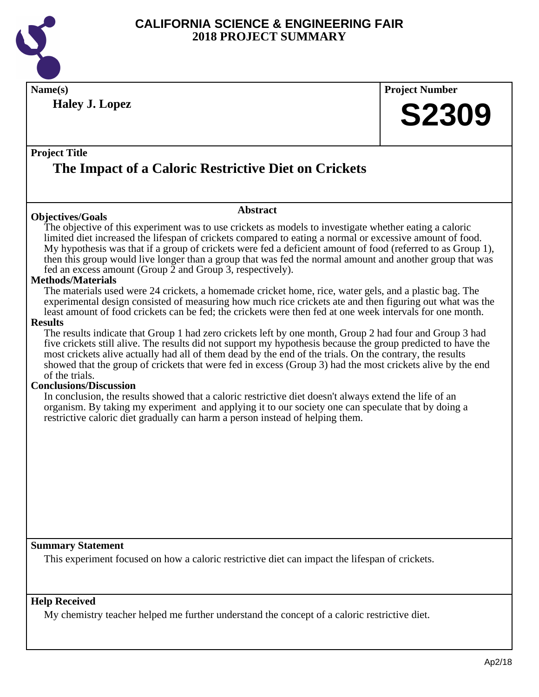

**Name(s) Project Number Haley J. Lopez**

#### **Project Title**

# **The Impact of a Caloric Restrictive Diet on Crickets**

#### **Objectives/Goals**

The objective of this experiment was to use crickets as models to investigate whether eating a caloric limited diet increased the lifespan of crickets compared to eating a normal or excessive amount of food. My hypothesis was that if a group of crickets were fed a deficient amount of food (referred to as Group 1), then this group would live longer than a group that was fed the normal amount and another group that was fed an excess amount (Group 2 and Group 3, respectively).

**Abstract**

#### **Methods/Materials**

The materials used were 24 crickets, a homemade cricket home, rice, water gels, and a plastic bag. The experimental design consisted of measuring how much rice crickets ate and then figuring out what was the least amount of food crickets can be fed; the crickets were then fed at one week intervals for one month.

#### **Results**

The results indicate that Group 1 had zero crickets left by one month, Group 2 had four and Group 3 had five crickets still alive. The results did not support my hypothesis because the group predicted to have the most crickets alive actually had all of them dead by the end of the trials. On the contrary, the results showed that the group of crickets that were fed in excess (Group 3) had the most crickets alive by the end of the trials.

#### **Conclusions/Discussion**

In conclusion, the results showed that a caloric restrictive diet doesn't always extend the life of an organism. By taking my experiment and applying it to our society one can speculate that by doing a restrictive caloric diet gradually can harm a person instead of helping them.

#### **Summary Statement**

This experiment focused on how a caloric restrictive diet can impact the lifespan of crickets.

#### **Help Received**

My chemistry teacher helped me further understand the concept of a caloric restrictive diet.

**S2309**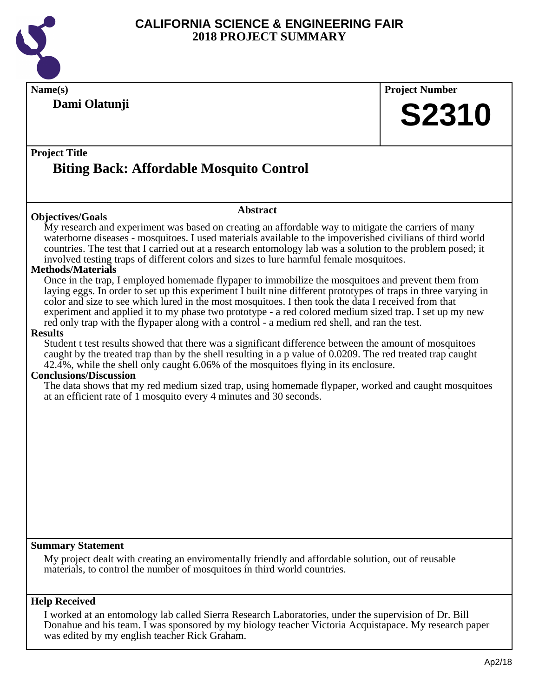

|                                                                                                                                                                                                                                                                                                                                                                                                                                                                                                                                                                                                                                                                                                                                                                                                                                                                                                                                                                                                                                                                                                                                                                                                                                                                                                                                                                                                                                                                                                                                               | <b>Project Number</b> |
|-----------------------------------------------------------------------------------------------------------------------------------------------------------------------------------------------------------------------------------------------------------------------------------------------------------------------------------------------------------------------------------------------------------------------------------------------------------------------------------------------------------------------------------------------------------------------------------------------------------------------------------------------------------------------------------------------------------------------------------------------------------------------------------------------------------------------------------------------------------------------------------------------------------------------------------------------------------------------------------------------------------------------------------------------------------------------------------------------------------------------------------------------------------------------------------------------------------------------------------------------------------------------------------------------------------------------------------------------------------------------------------------------------------------------------------------------------------------------------------------------------------------------------------------------|-----------------------|
| Dami Olatunji                                                                                                                                                                                                                                                                                                                                                                                                                                                                                                                                                                                                                                                                                                                                                                                                                                                                                                                                                                                                                                                                                                                                                                                                                                                                                                                                                                                                                                                                                                                                 | <b>S2310</b>          |
| <b>Project Title</b><br><b>Biting Back: Affordable Mosquito Control</b>                                                                                                                                                                                                                                                                                                                                                                                                                                                                                                                                                                                                                                                                                                                                                                                                                                                                                                                                                                                                                                                                                                                                                                                                                                                                                                                                                                                                                                                                       |                       |
| <b>Abstract</b><br><b>Objectives/Goals</b>                                                                                                                                                                                                                                                                                                                                                                                                                                                                                                                                                                                                                                                                                                                                                                                                                                                                                                                                                                                                                                                                                                                                                                                                                                                                                                                                                                                                                                                                                                    |                       |
| My research and experiment was based on creating an affordable way to mitigate the carriers of many<br>waterborne diseases - mosquitoes. I used materials available to the impoverished civilians of third world<br>countries. The test that I carried out at a research entomology lab was a solution to the problem posed; it<br>involved testing traps of different colors and sizes to lure harmful female mosquitoes.<br><b>Methods/Materials</b><br>Once in the trap, I employed homemade flypaper to immobilize the mosquitoes and prevent them from<br>laying eggs. In order to set up this experiment I built nine different prototypes of traps in three varying in<br>color and size to see which lured in the most mosquitoes. I then took the data I received from that<br>experiment and applied it to my phase two prototype - a red colored medium sized trap. I set up my new<br>red only trap with the flypaper along with a control - a medium red shell, and ran the test.<br><b>Results</b><br>Student t test results showed that there was a significant difference between the amount of mosquitoes<br>caught by the treated trap than by the shell resulting in a p value of 0.0209. The red treated trap caught<br>42.4%, while the shell only caught 6.06% of the mosquitoes flying in its enclosure.<br><b>Conclusions/Discussion</b><br>The data shows that my red medium sized trap, using homemade flypaper, worked and caught mosquitoes<br>at an efficient rate of 1 mosquito every 4 minutes and 30 seconds. |                       |
|                                                                                                                                                                                                                                                                                                                                                                                                                                                                                                                                                                                                                                                                                                                                                                                                                                                                                                                                                                                                                                                                                                                                                                                                                                                                                                                                                                                                                                                                                                                                               |                       |

I worked at an entomology lab called Sierra Research Laboratories, under the supervision of Dr. Bill Donahue and his team. I was sponsored by my biology teacher Victoria Acquistapace. My research paper was edited by my english teacher Rick Graham.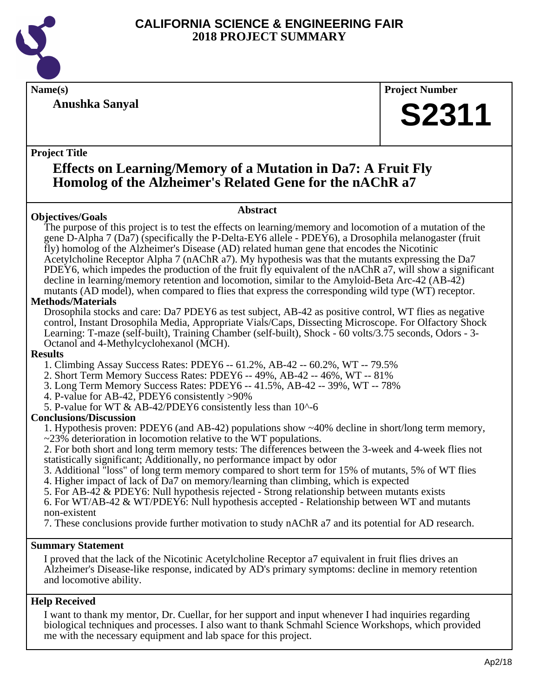

**Anushka Sanyal**

**Name(s) Project Number**

# **S2311**

#### **Project Title**

### **Effects on Learning/Memory of a Mutation in Da7: A Fruit Fly Homolog of the Alzheimer's Related Gene for the nAChR a7**

**Abstract**

#### **Objectives/Goals**

The purpose of this project is to test the effects on learning/memory and locomotion of a mutation of the gene D-Alpha 7 (Da7) (specifically the P-Delta-EY6 allele - PDEY6), a Drosophila melanogaster (fruit fly) homolog of the Alzheimer's Disease (AD) related human gene that encodes the Nicotinic Acetylcholine Receptor Alpha 7 (nAChR a7). My hypothesis was that the mutants expressing the Da7 PDEY6, which impedes the production of the fruit fly equivalent of the nAChR a7, will show a significant decline in learning/memory retention and locomotion, similar to the Amyloid-Beta Arc-42 (AB-42) mutants (AD model), when compared to flies that express the corresponding wild type (WT) receptor.

#### **Methods/Materials**

Drosophila stocks and care: Da7 PDEY6 as test subject, AB-42 as positive control, WT flies as negative control, Instant Drosophila Media, Appropriate Vials/Caps, Dissecting Microscope. For Olfactory Shock Learning: T-maze (self-built), Training Chamber (self-built), Shock - 60 volts/3.75 seconds, Odors - 3- Octanol and 4-Methylcyclohexanol (MCH).

#### **Results**

1. Climbing Assay Success Rates: PDEY6 -- 61.2%, AB-42 -- 60.2%, WT -- 79.5%

- 2. Short Term Memory Success Rates: PDEY6 -- 49%, AB-42 -- 46%, WT -- 81%
- 3. Long Term Memory Success Rates: PDEY6 -- 41.5%, AB-42 -- 39%, WT -- 78%
- 4. P-value for AB-42, PDEY6 consistently >90%
- 5. P-value for WT & AB-42/PDEY6 consistently less than 10^-6

#### **Conclusions/Discussion**

1. Hypothesis proven: PDEY6 (and AB-42) populations show ~40% decline in short/long term memory, ~23% deterioration in locomotion relative to the WT populations.

2. For both short and long term memory tests: The differences between the 3-week and 4-week flies not statistically significant; Additionally, no performance impact by odor

3. Additional "loss" of long term memory compared to short term for 15% of mutants, 5% of WT flies

4. Higher impact of lack of Da7 on memory/learning than climbing, which is expected

5. For AB-42 & PDEY6: Null hypothesis rejected - Strong relationship between mutants exists

6. For WT/AB-42 & WT/PDEY6: Null hypothesis accepted - Relationship between WT and mutants non-existent

7. These conclusions provide further motivation to study nAChR a7 and its potential for AD research.

#### **Summary Statement**

I proved that the lack of the Nicotinic Acetylcholine Receptor a7 equivalent in fruit flies drives an Alzheimer's Disease-like response, indicated by AD's primary symptoms: decline in memory retention and locomotive ability.

#### **Help Received**

I want to thank my mentor, Dr. Cuellar, for her support and input whenever I had inquiries regarding biological techniques and processes. I also want to thank Schmahl Science Workshops, which provided me with the necessary equipment and lab space for this project.